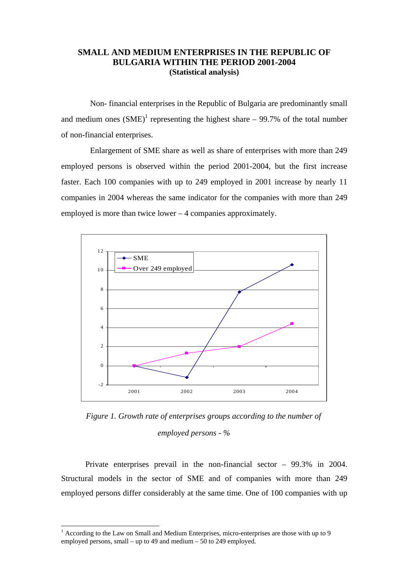## **SMALL AND MEDIUM ENTERPRISES IN THE REPUBLIC OF BULGARIA WITHIN THE PERIOD 2001-2004 (Statistical analysis)**

Non- financial enterprises in the Republic of Bulgaria are predominantly small and medium ones  $(SME)^1$  representing the highest share  $-99.7\%$  of the total number of non-financial enterprises.

Enlargement of SME share as well as share of enterprises with more than 249 employed persons is observed within the period 2001-2004, but the first increase faster. Each 100 companies with up to 249 employed in 2001 increase by nearly 11 companies in 2004 whereas the same indicator for the companies with more than 249 employed is more than twice lower – 4 companies approximately.



*Figure 1. Growth rate of enterprises groups according to the number of employed persons - %* 

Private enterprises prevail in the non-financial sector – 99.3% in 2004. Structural models in the sector of SME and of companies with more than 249 employed persons differ considerably at the same time. One of 100 companies with up

l

<sup>&</sup>lt;sup>1</sup> According to the Law on Small and Medium Enterprises, micro-enterprises are those with up to 9 employed persons, small – up to 49 and medium – 50 to 249 employed.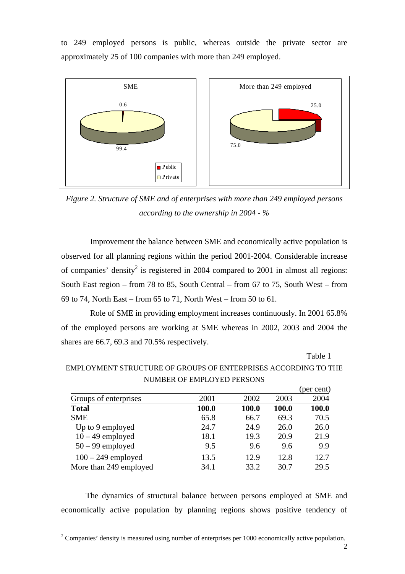to 249 employed persons is public, whereas outside the private sector are approximately 25 of 100 companies with more than 249 employed.



*Figure 2. Structure of SME and of enterprises with more than 249 employed persons according to the ownership in 2004 - %* 

Improvement the balance between SME and economically active population is observed for all planning regions within the period 2001-2004. Considerable increase of companies' density<sup>2</sup> is registered in 2004 compared to 2001 in almost all regions: South East region – from 78 to 85, South Central – from 67 to 75, South West – from 69 to 74, North East – from 65 to 71, North West – from 50 to 61.

Role of SME in providing employment increases continuously. In 2001 65.8% of the employed persons are working at SME whereas in 2002, 2003 and 2004 the shares are 66.7, 69.3 and 70.5% respectively.

Table 1

|                        |       |       |       | (per cent) |
|------------------------|-------|-------|-------|------------|
| Groups of enterprises  | 2001  | 2002  | 2003  | 2004       |
| <b>Total</b>           | 100.0 | 100.0 | 100.0 | 100.0      |
| <b>SME</b>             | 65.8  | 66.7  | 69.3  | 70.5       |
| Up to 9 employed       | 24.7  | 24.9  | 26.0  | 26.0       |
| $10 - 49$ employed     | 18.1  | 19.3  | 20.9  | 21.9       |
| $50 - 99$ employed     | 9.5   | 9.6   | 9.6   | 9.9        |
| $100 - 249$ employed   | 13.5  | 12.9  | 12.8  | 12.7       |
| More than 249 employed | 34.1  | 33.2  | 30.7  | 29.5       |

EMPLOYMENT STRUCTURE OF GROUPS OF ENTERPRISES ACCORDING TO THE NUMBER OF EMPLOYED PERSONS

The dynamics of structural balance between persons employed at SME and economically active population by planning regions shows positive tendency of

<sup>&</sup>lt;sup>2</sup> Companies' density is measured using number of enterprises per 1000 economically active population.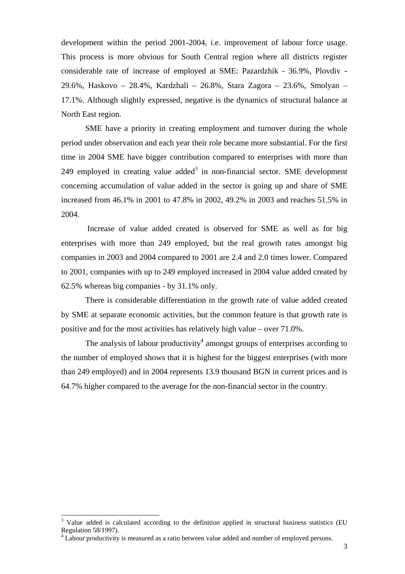development within the period 2001-2004, i.e. improvement of labour force usage. This process is more obvious for South Central region where all districts register considerable rate of increase of employed at SME: Pazardzhik - 36.9%, Plovdiv - 29.6%, Haskovo – 28.4%, Kardzhali – 26.8%, Stara Zagora – 23.6%, Smolyan – 17.1%. Although slightly expressed, negative is the dynamics of structural balance at North East region.

SME have a priority in creating employment and turnover during the whole period under observation and each year their role became more substantial. For the first time in 2004 SME have bigger contribution compared to enterprises with more than 249 employed in creating value added<sup>3</sup> in non-financial sector. SME development concerning accumulation of value added in the sector is going up and share of SME increased from 46.1% in 2001 to 47.8% in 2002, 49.2% in 2003 and reaches 51.5% in 2004.

 Increase of value added created is observed for SME as well as for big enterprises with more than 249 employed, but the real growth rates amongst big companies in 2003 and 2004 compared to 2001 are 2.4 and 2.0 times lower. Compared to 2001, companies with up to 249 employed increased in 2004 value added created by 62.5% whereas big companies - by 31.1% only.

There is considerable differentiation in the growth rate of value added created by SME at separate economic activities, but the common feature is that growth rate is positive and for the most activities has relatively high value – over 71.0%.

The analysis of labour productivity<sup>4</sup> amongst groups of enterprises according to the number of employed shows that it is highest for the biggest enterprises (with more than 249 employed) and in 2004 represents 13.9 thousand BGN in current prices and is 64.7% higher compared to the average for the non-financial sector in the country.

l

<sup>&</sup>lt;sup>3</sup> Value added is calculated according to the definition applied in structural business statistics (EU Regulation 58/1997).

<sup>&</sup>lt;sup>4</sup> Labour productivity is measured as a ratio between value added and number of employed persons.